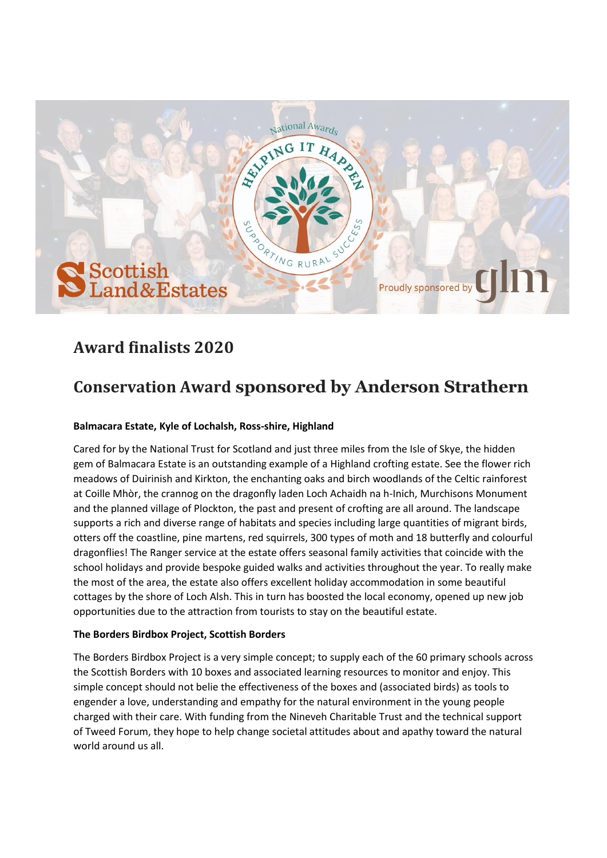

# **Award finalists 2020**

# **Conservation Award sponsored by Anderson Strathern**

## **Balmacara Estate, Kyle of Lochalsh, Ross-shire, Highland**

Cared for by the National Trust for Scotland and just three miles from the Isle of Skye, the hidden gem of Balmacara Estate is an outstanding example of a Highland crofting estate. See the flower rich meadows of Duirinish and Kirkton, the enchanting oaks and birch woodlands of the Celtic rainforest at Coille Mhòr, the crannog on the dragonfly laden Loch Achaidh na h-Inich, Murchisons Monument and the planned village of Plockton, the past and present of crofting are all around. The landscape supports a rich and diverse range of habitats and species including large quantities of migrant birds, otters off the coastline, pine martens, red squirrels, 300 types of moth and 18 butterfly and colourful dragonflies! The Ranger service at the estate offers seasonal family activities that coincide with the school holidays and provide bespoke guided walks and activities throughout the year. To really make the most of the area, the estate also offers excellent holiday accommodation in some beautiful cottages by the shore of Loch Alsh. This in turn has boosted the local economy, opened up new job opportunities due to the attraction from tourists to stay on the beautiful estate.

## **The Borders Birdbox Project, Scottish Borders**

The Borders Birdbox Project is a very simple concept; to supply each of the 60 primary schools across the Scottish Borders with 10 boxes and associated learning resources to monitor and enjoy. This simple concept should not belie the effectiveness of the boxes and (associated birds) as tools to engender a love, understanding and empathy for the natural environment in the young people charged with their care. With funding from the Nineveh Charitable Trust and the technical support of Tweed Forum, they hope to help change societal attitudes about and apathy toward the natural world around us all.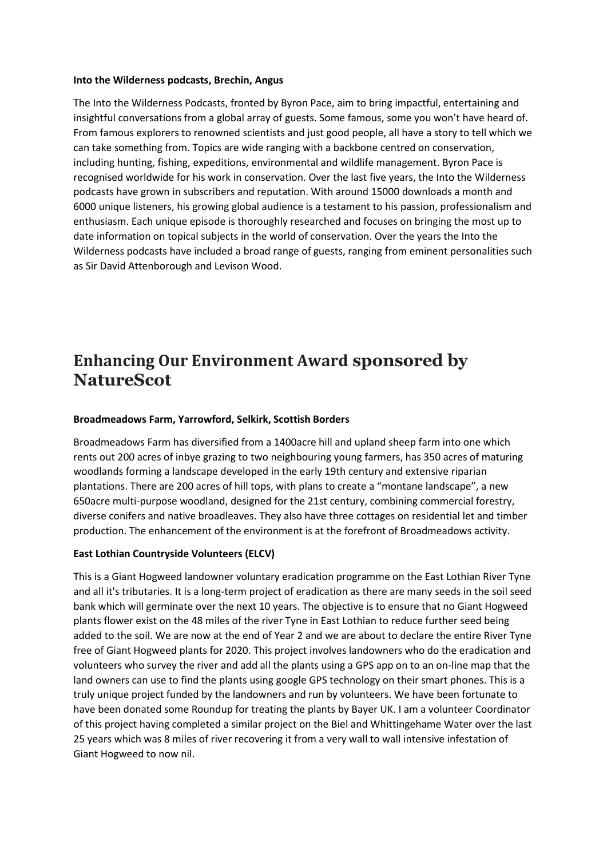#### **Into the Wilderness podcasts, Brechin, Angus**

The Into the Wilderness Podcasts, fronted by Byron Pace, aim to bring impactful, entertaining and insightful conversations from a global array of guests. Some famous, some you won't have heard of. From famous explorers to renowned scientists and just good people, all have a story to tell which we can take something from. Topics are wide ranging with a backbone centred on conservation, including hunting, fishing, expeditions, environmental and wildlife management. Byron Pace is recognised worldwide for his work in conservation. Over the last five years, the Into the Wilderness podcasts have grown in subscribers and reputation. With around 15000 downloads a month and 6000 unique listeners, his growing global audience is a testament to his passion, professionalism and enthusiasm. Each unique episode is thoroughly researched and focuses on bringing the most up to date information on topical subjects in the world of conservation. Over the years the Into the Wilderness podcasts have included a broad range of guests, ranging from eminent personalities such as Sir David Attenborough and Levison Wood.

## **Enhancing Our Environment Award sponsored by NatureScot**

### **Broadmeadows Farm, Yarrowford, Selkirk, Scottish Borders**

Broadmeadows Farm has diversified from a 1400acre hill and upland sheep farm into one which rents out 200 acres of inbye grazing to two neighbouring young farmers, has 350 acres of maturing woodlands forming a landscape developed in the early 19th century and extensive riparian plantations. There are 200 acres of hill tops, with plans to create a "montane landscape", a new 650acre multi-purpose woodland, designed for the 21st century, combining commercial forestry, diverse conifers and native broadleaves. They also have three cottages on residential let and timber production. The enhancement of the environment is at the forefront of Broadmeadows activity.

### **East Lothian Countryside Volunteers (ELCV)**

This is a Giant Hogweed landowner voluntary eradication programme on the East Lothian River Tyne and all it's tributaries. It is a long-term project of eradication as there are many seeds in the soil seed bank which will germinate over the next 10 years. The objective is to ensure that no Giant Hogweed plants flower exist on the 48 miles of the river Tyne in East Lothian to reduce further seed being added to the soil. We are now at the end of Year 2 and we are about to declare the entire River Tyne free of Giant Hogweed plants for 2020. This project involves landowners who do the eradication and volunteers who survey the river and add all the plants using a GPS app on to an on-line map that the land owners can use to find the plants using google GPS technology on their smart phones. This is a truly unique project funded by the landowners and run by volunteers. We have been fortunate to have been donated some Roundup for treating the plants by Bayer UK. I am a volunteer Coordinator of this project having completed a similar project on the Biel and Whittingehame Water over the last 25 years which was 8 miles of river recovering it from a very wall to wall intensive infestation of Giant Hogweed to now nil.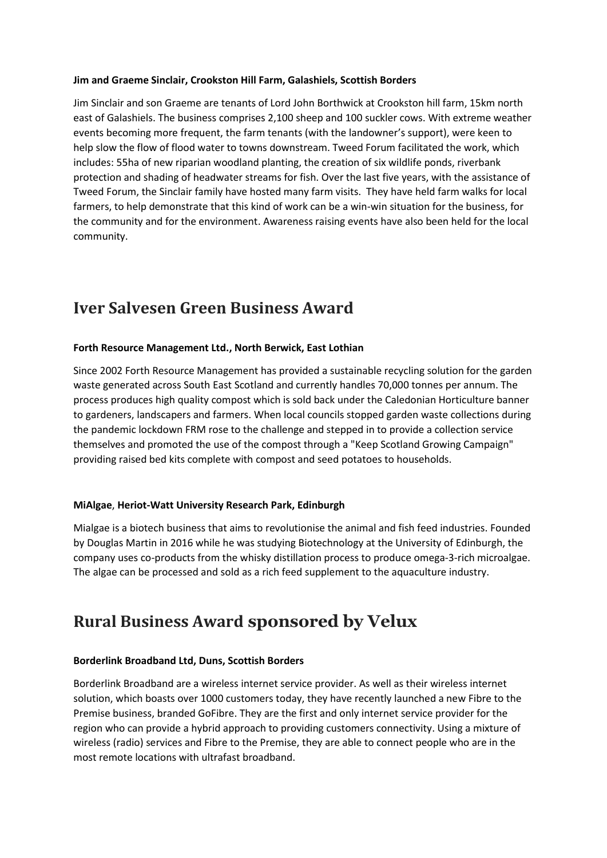### **Jim and Graeme Sinclair, Crookston Hill Farm, Galashiels, Scottish Borders**

Jim Sinclair and son Graeme are tenants of Lord John Borthwick at Crookston hill farm, 15km north east of Galashiels. The business comprises 2,100 sheep and 100 suckler cows. With extreme weather events becoming more frequent, the farm tenants (with the landowner's support), were keen to help slow the flow of flood water to towns downstream. Tweed Forum facilitated the work, which includes: 55ha of new riparian woodland planting, the creation of six wildlife ponds, riverbank protection and shading of headwater streams for fish. Over the last five years, with the assistance of Tweed Forum, the Sinclair family have hosted many farm visits. They have held farm walks for local farmers, to help demonstrate that this kind of work can be a win-win situation for the business, for the community and for the environment. Awareness raising events have also been held for the local community.

## **Iver Salvesen Green Business Award**

## **Forth Resource Management Ltd., North Berwick, East Lothian**

Since 2002 Forth Resource Management has provided a sustainable recycling solution for the garden waste generated across South East Scotland and currently handles 70,000 tonnes per annum. The process produces high quality compost which is sold back under the Caledonian Horticulture banner to gardeners, landscapers and farmers. When local councils stopped garden waste collections during the pandemic lockdown FRM rose to the challenge and stepped in to provide a collection service themselves and promoted the use of the compost through a "Keep Scotland Growing Campaign" providing raised bed kits complete with compost and seed potatoes to households.

## **MiAlgae**, **Heriot-Watt University Research Park, Edinburgh**

Mialgae is a biotech business that aims to revolutionise the animal and fish feed industries. Founded by Douglas Martin in 2016 while he was studying Biotechnology at the University of Edinburgh, the company uses co-products from the whisky distillation process to produce omega-3-rich microalgae. The algae can be processed and sold as a rich feed supplement to the aquaculture industry.

## **Rural Business Award sponsored by Velux**

### **Borderlink Broadband Ltd, Duns, Scottish Borders**

Borderlink Broadband are a wireless internet service provider. As well as their wireless internet solution, which boasts over 1000 customers today, they have recently launched a new Fibre to the Premise business, branded GoFibre. They are the first and only internet service provider for the region who can provide a hybrid approach to providing customers connectivity. Using a mixture of wireless (radio) services and Fibre to the Premise, they are able to connect people who are in the most remote locations with ultrafast broadband.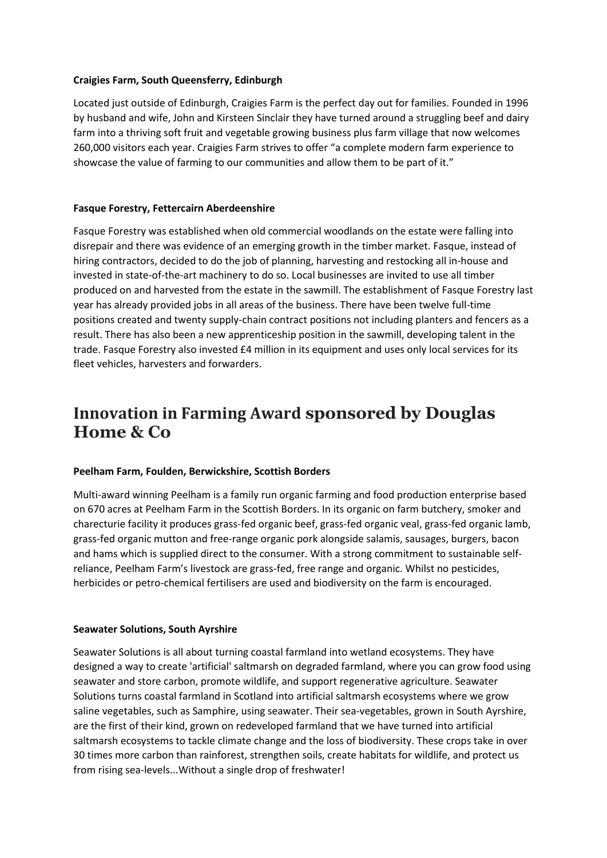### **Craigies Farm, South Queensferry, Edinburgh**

Located just outside of Edinburgh, Craigies Farm is the perfect day out for families. Founded in 1996 by husband and wife, John and Kirsteen Sinclair they have turned around a struggling beef and dairy farm into a thriving soft fruit and vegetable growing business plus farm village that now welcomes 260,000 visitors each year. Craigies Farm strives to offer "a complete modern farm experience to showcase the value of farming to our communities and allow them to be part of it."

## **Fasque Forestry, Fettercairn Aberdeenshire**

Fasque Forestry was established when old commercial woodlands on the estate were falling into disrepair and there was evidence of an emerging growth in the timber market. Fasque, instead of hiring contractors, decided to do the job of planning, harvesting and restocking all in-house and invested in state-of-the-art machinery to do so. Local businesses are invited to use all timber produced on and harvested from the estate in the sawmill. The establishment of Fasque Forestry last year has already provided jobs in all areas of the business. There have been twelve full-time positions created and twenty supply-chain contract positions not including planters and fencers as a result. There has also been a new apprenticeship position in the sawmill, developing talent in the trade. Fasque Forestry also invested £4 million in its equipment and uses only local services for its fleet vehicles, harvesters and forwarders.

## **Innovation in Farming Award sponsored by Douglas Home & Co**

### **Peelham Farm, Foulden, Berwickshire, Scottish Borders**

Multi-award winning Peelham is a family run organic farming and food production enterprise based on 670 acres at Peelham Farm in the Scottish Borders. In its organic on farm butchery, smoker and charecturie facility it produces grass-fed organic beef, grass-fed organic veal, grass-fed organic lamb, grass-fed organic mutton and free-range organic pork alongside salamis, sausages, burgers, bacon and hams which is supplied direct to the consumer. With a strong commitment to sustainable selfreliance, Peelham Farm's livestock are grass-fed, free range and organic. Whilst no pesticides, herbicides or petro-chemical fertilisers are used and biodiversity on the farm is encouraged.

### **Seawater Solutions, South Ayrshire**

Seawater Solutions is all about turning coastal farmland into wetland ecosystems. They have designed a way to create 'artificial' saltmarsh on degraded farmland, where you can grow food using seawater and store carbon, promote wildlife, and support regenerative agriculture. Seawater Solutions turns coastal farmland in Scotland into artificial saltmarsh ecosystems where we grow saline vegetables, such as Samphire, using seawater. Their sea-vegetables, grown in South Ayrshire, are the first of their kind, grown on redeveloped farmland that we have turned into artificial saltmarsh ecosystems to tackle climate change and the loss of biodiversity. These crops take in over 30 times more carbon than rainforest, strengthen soils, create habitats for wildlife, and protect us from rising sea-levels...Without a single drop of freshwater!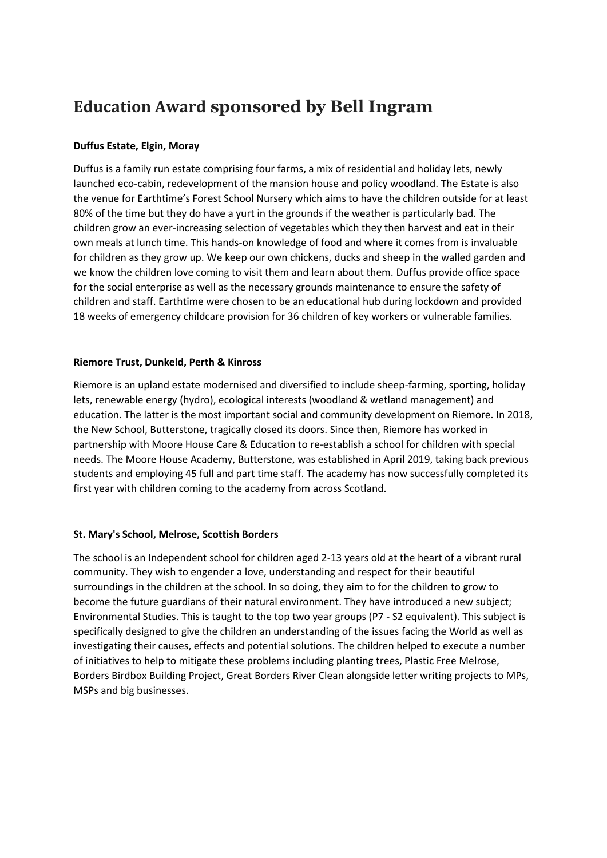# **Education Award sponsored by Bell Ingram**

## **Duffus Estate, Elgin, Moray**

Duffus is a family run estate comprising four farms, a mix of residential and holiday lets, newly launched eco-cabin, redevelopment of the mansion house and policy woodland. The Estate is also the venue for Earthtime's Forest School Nursery which aims to have the children outside for at least 80% of the time but they do have a yurt in the grounds if the weather is particularly bad. The children grow an ever-increasing selection of vegetables which they then harvest and eat in their own meals at lunch time. This hands-on knowledge of food and where it comes from is invaluable for children as they grow up. We keep our own chickens, ducks and sheep in the walled garden and we know the children love coming to visit them and learn about them. Duffus provide office space for the social enterprise as well as the necessary grounds maintenance to ensure the safety of children and staff. Earthtime were chosen to be an educational hub during lockdown and provided 18 weeks of emergency childcare provision for 36 children of key workers or vulnerable families.

## **Riemore Trust, Dunkeld, Perth & Kinross**

Riemore is an upland estate modernised and diversified to include sheep-farming, sporting, holiday lets, renewable energy (hydro), ecological interests (woodland & wetland management) and education. The latter is the most important social and community development on Riemore. In 2018, the New School, Butterstone, tragically closed its doors. Since then, Riemore has worked in partnership with Moore House Care & Education to re-establish a school for children with special needs. The Moore House Academy, Butterstone, was established in April 2019, taking back previous students and employing 45 full and part time staff. The academy has now successfully completed its first year with children coming to the academy from across Scotland.

## **St. Mary's School, Melrose, Scottish Borders**

The school is an Independent school for children aged 2-13 years old at the heart of a vibrant rural community. They wish to engender a love, understanding and respect for their beautiful surroundings in the children at the school. In so doing, they aim to for the children to grow to become the future guardians of their natural environment. They have introduced a new subject; Environmental Studies. This is taught to the top two year groups (P7 - S2 equivalent). This subject is specifically designed to give the children an understanding of the issues facing the World as well as investigating their causes, effects and potential solutions. The children helped to execute a number of initiatives to help to mitigate these problems including planting trees, Plastic Free Melrose, Borders Birdbox Building Project, Great Borders River Clean alongside letter writing projects to MPs, MSPs and big businesses.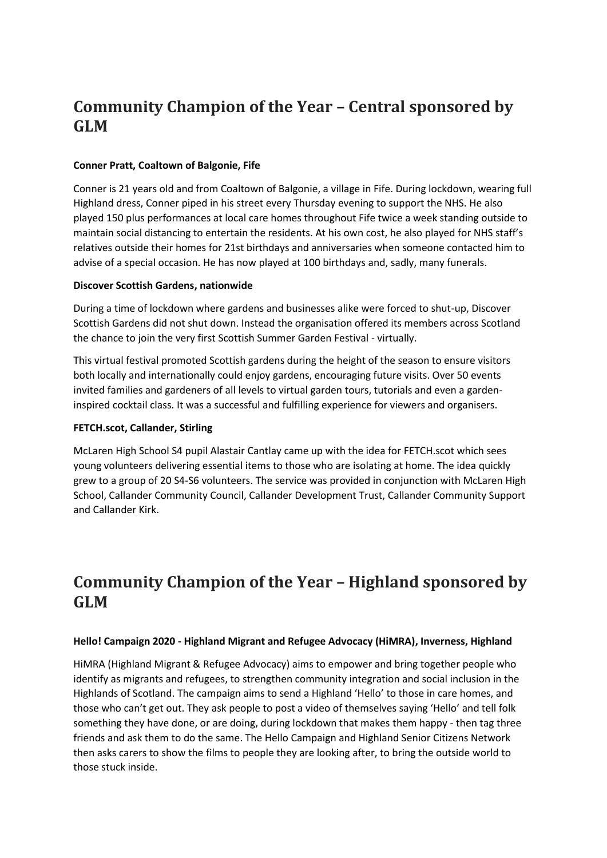# **Community Champion of the Year – Central sponsored by GLM**

### **Conner Pratt, Coaltown of Balgonie, Fife**

Conner is 21 years old and from Coaltown of Balgonie, a village in Fife. During lockdown, wearing full Highland dress, Conner piped in his street every Thursday evening to support the NHS. He also played 150 plus performances at local care homes throughout Fife twice a week standing outside to maintain social distancing to entertain the residents. At his own cost, he also played for NHS staff's relatives outside their homes for 21st birthdays and anniversaries when someone contacted him to advise of a special occasion. He has now played at 100 birthdays and, sadly, many funerals.

### **Discover Scottish Gardens, nationwide**

During a time of lockdown where gardens and businesses alike were forced to shut-up, Discover Scottish Gardens did not shut down. Instead the organisation offered its members across Scotland the chance to join the very first Scottish Summer Garden Festival - virtually.

This virtual festival promoted Scottish gardens during the height of the season to ensure visitors both locally and internationally could enjoy gardens, encouraging future visits. Over 50 events invited families and gardeners of all levels to virtual garden tours, tutorials and even a gardeninspired cocktail class. It was a successful and fulfilling experience for viewers and organisers.

## **FETCH.scot, Callander, Stirling**

McLaren High School S4 pupil Alastair Cantlay came up with the idea for FETCH.scot which sees young volunteers delivering essential items to those who are isolating at home. The idea quickly grew to a group of 20 S4-S6 volunteers. The service was provided in conjunction with McLaren High School, Callander Community Council, Callander Development Trust, Callander Community Support and Callander Kirk.

# **Community Champion of the Year – Highland sponsored by GLM**

### **Hello! Campaign 2020 - Highland Migrant and Refugee Advocacy (HiMRA), Inverness, Highland**

HiMRA (Highland Migrant & Refugee Advocacy) aims to empower and bring together people who identify as migrants and refugees, to strengthen community integration and social inclusion in the Highlands of Scotland. The campaign aims to send a Highland 'Hello' to those in care homes, and those who can't get out. They ask people to post a video of themselves saying 'Hello' and tell folk something they have done, or are doing, during lockdown that makes them happy - then tag three friends and ask them to do the same. The Hello Campaign and Highland Senior Citizens Network then asks carers to show the films to people they are looking after, to bring the outside world to those stuck inside.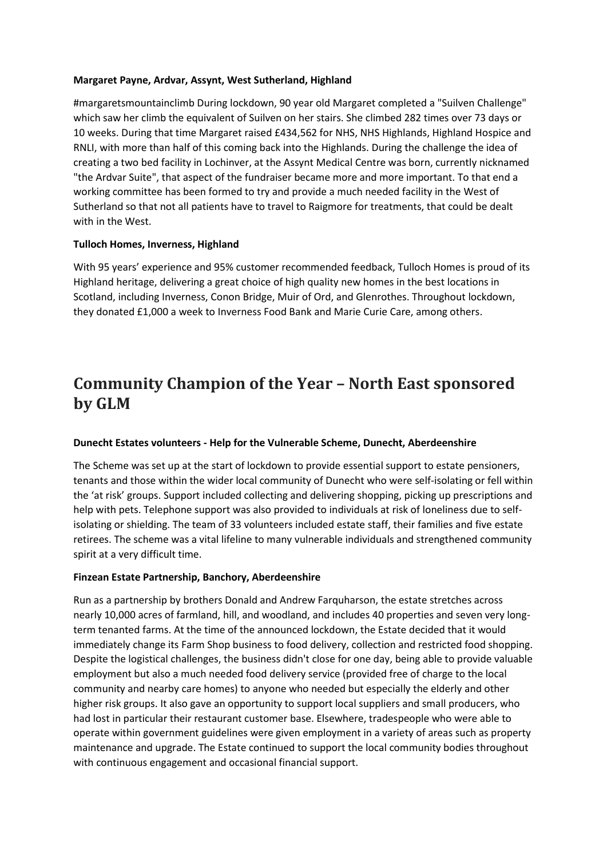### **Margaret Payne, Ardvar, Assynt, West Sutherland, Highland**

#margaretsmountainclimb During lockdown, 90 year old Margaret completed a "Suilven Challenge" which saw her climb the equivalent of Suilven on her stairs. She climbed 282 times over 73 days or 10 weeks. During that time Margaret raised £434,562 for NHS, NHS Highlands, Highland Hospice and RNLI, with more than half of this coming back into the Highlands. During the challenge the idea of creating a two bed facility in Lochinver, at the Assynt Medical Centre was born, currently nicknamed "the Ardvar Suite", that aspect of the fundraiser became more and more important. To that end a working committee has been formed to try and provide a much needed facility in the West of Sutherland so that not all patients have to travel to Raigmore for treatments, that could be dealt with in the West.

### **Tulloch Homes, Inverness, Highland**

With 95 years' experience and 95% customer recommended feedback, Tulloch Homes is proud of its Highland heritage, delivering a great choice of high quality new homes in the best locations in Scotland, including Inverness, Conon Bridge, Muir of Ord, and Glenrothes. Throughout lockdown, they donated £1,000 a week to Inverness Food Bank and Marie Curie Care, among others.

## **Community Champion of the Year – North East sponsored by GLM**

### **Dunecht Estates volunteers - Help for the Vulnerable Scheme, Dunecht, Aberdeenshire**

The Scheme was set up at the start of lockdown to provide essential support to estate pensioners, tenants and those within the wider local community of Dunecht who were self-isolating or fell within the 'at risk' groups. Support included collecting and delivering shopping, picking up prescriptions and help with pets. Telephone support was also provided to individuals at risk of loneliness due to selfisolating or shielding. The team of 33 volunteers included estate staff, their families and five estate retirees. The scheme was a vital lifeline to many vulnerable individuals and strengthened community spirit at a very difficult time.

### **Finzean Estate Partnership, Banchory, Aberdeenshire**

Run as a partnership by brothers Donald and Andrew Farquharson, the estate stretches across nearly 10,000 acres of farmland, hill, and woodland, and includes 40 properties and seven very longterm tenanted farms. At the time of the announced lockdown, the Estate decided that it would immediately change its Farm Shop business to food delivery, collection and restricted food shopping. Despite the logistical challenges, the business didn't close for one day, being able to provide valuable employment but also a much needed food delivery service (provided free of charge to the local community and nearby care homes) to anyone who needed but especially the elderly and other higher risk groups. It also gave an opportunity to support local suppliers and small producers, who had lost in particular their restaurant customer base. Elsewhere, tradespeople who were able to operate within government guidelines were given employment in a variety of areas such as property maintenance and upgrade. The Estate continued to support the local community bodies throughout with continuous engagement and occasional financial support.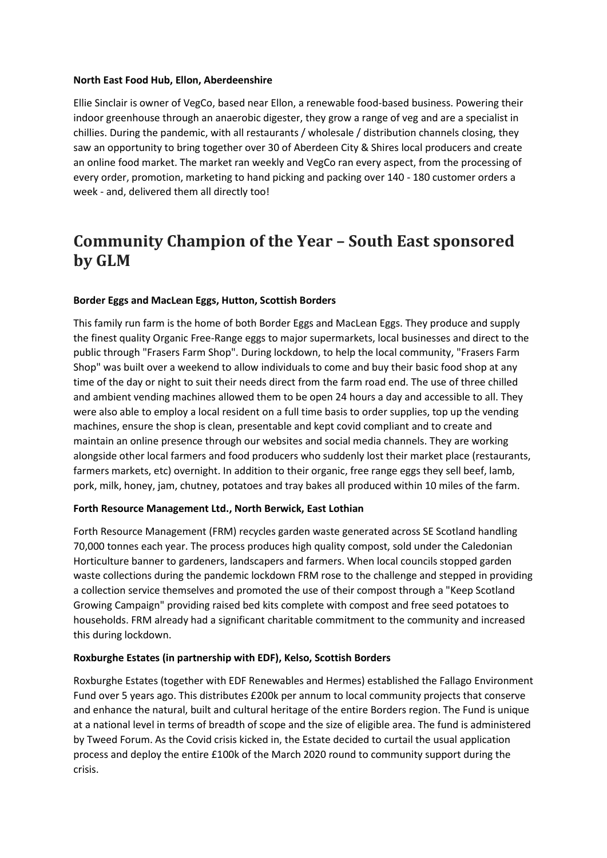### **North East Food Hub, Ellon, Aberdeenshire**

Ellie Sinclair is owner of VegCo, based near Ellon, a renewable food-based business. Powering their indoor greenhouse through an anaerobic digester, they grow a range of veg and are a specialist in chillies. During the pandemic, with all restaurants / wholesale / distribution channels closing, they saw an opportunity to bring together over 30 of Aberdeen City & Shires local producers and create an online food market. The market ran weekly and VegCo ran every aspect, from the processing of every order, promotion, marketing to hand picking and packing over 140 - 180 customer orders a week - and, delivered them all directly too!

## **Community Champion of the Year – South East sponsored by GLM**

### **Border Eggs and MacLean Eggs, Hutton, Scottish Borders**

This family run farm is the home of both Border Eggs and MacLean Eggs. They produce and supply the finest quality Organic Free-Range eggs to major supermarkets, local businesses and direct to the public through "Frasers Farm Shop". During lockdown, to help the local community, "Frasers Farm Shop" was built over a weekend to allow individuals to come and buy their basic food shop at any time of the day or night to suit their needs direct from the farm road end. The use of three chilled and ambient vending machines allowed them to be open 24 hours a day and accessible to all. They were also able to employ a local resident on a full time basis to order supplies, top up the vending machines, ensure the shop is clean, presentable and kept covid compliant and to create and maintain an online presence through our websites and social media channels. They are working alongside other local farmers and food producers who suddenly lost their market place (restaurants, farmers markets, etc) overnight. In addition to their organic, free range eggs they sell beef, lamb, pork, milk, honey, jam, chutney, potatoes and tray bakes all produced within 10 miles of the farm.

#### **Forth Resource Management Ltd., North Berwick, East Lothian**

Forth Resource Management (FRM) recycles garden waste generated across SE Scotland handling 70,000 tonnes each year. The process produces high quality compost, sold under the Caledonian Horticulture banner to gardeners, landscapers and farmers. When local councils stopped garden waste collections during the pandemic lockdown FRM rose to the challenge and stepped in providing a collection service themselves and promoted the use of their compost through a "Keep Scotland Growing Campaign" providing raised bed kits complete with compost and free seed potatoes to households. FRM already had a significant charitable commitment to the community and increased this during lockdown.

#### **Roxburghe Estates (in partnership with EDF), Kelso, Scottish Borders**

Roxburghe Estates (together with EDF Renewables and Hermes) established the Fallago Environment Fund over 5 years ago. This distributes £200k per annum to local community projects that conserve and enhance the natural, built and cultural heritage of the entire Borders region. The Fund is unique at a national level in terms of breadth of scope and the size of eligible area. The fund is administered by Tweed Forum. As the Covid crisis kicked in, the Estate decided to curtail the usual application process and deploy the entire £100k of the March 2020 round to community support during the crisis.